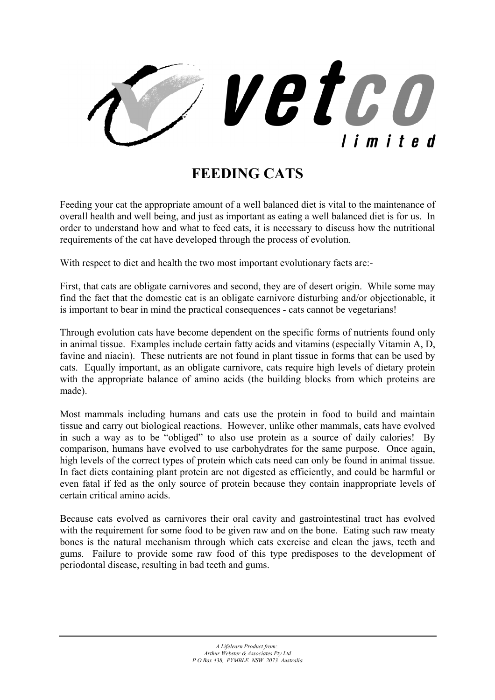

## **FEEDING CATS**

Feeding your cat the appropriate amount of a well balanced diet is vital to the maintenance of overall health and well being, and just as important as eating a well balanced diet is for us. In order to understand how and what to feed cats, it is necessary to discuss how the nutritional requirements of the cat have developed through the process of evolution.

With respect to diet and health the two most important evolutionary facts are:

First, that cats are obligate carnivores and second, they are of desert origin. While some may find the fact that the domestic cat is an obligate carnivore disturbing and/or objectionable, it is important to bear in mind the practical consequences - cats cannot be vegetarians!

Through evolution cats have become dependent on the specific forms of nutrients found only in animal tissue. Examples include certain fatty acids and vitamins (especially Vitamin A, D, favine and niacin). These nutrients are not found in plant tissue in forms that can be used by cats. Equally important, as an obligate carnivore, cats require high levels of dietary protein with the appropriate balance of amino acids (the building blocks from which proteins are made).

Most mammals including humans and cats use the protein in food to build and maintain tissue and carry out biological reactions. However, unlike other mammals, cats have evolved in such a way as to be "obliged" to also use protein as a source of daily calories! By comparison, humans have evolved to use carbohydrates for the same purpose. Once again, high levels of the correct types of protein which cats need can only be found in animal tissue. In fact diets containing plant protein are not digested as efficiently, and could be harmful or even fatal if fed as the only source of protein because they contain inappropriate levels of certain critical amino acids.

Because cats evolved as carnivores their oral cavity and gastrointestinal tract has evolved with the requirement for some food to be given raw and on the bone. Eating such raw meaty bones is the natural mechanism through which cats exercise and clean the jaws, teeth and gums. Failure to provide some raw food of this type predisposes to the development of periodontal disease, resulting in bad teeth and gums.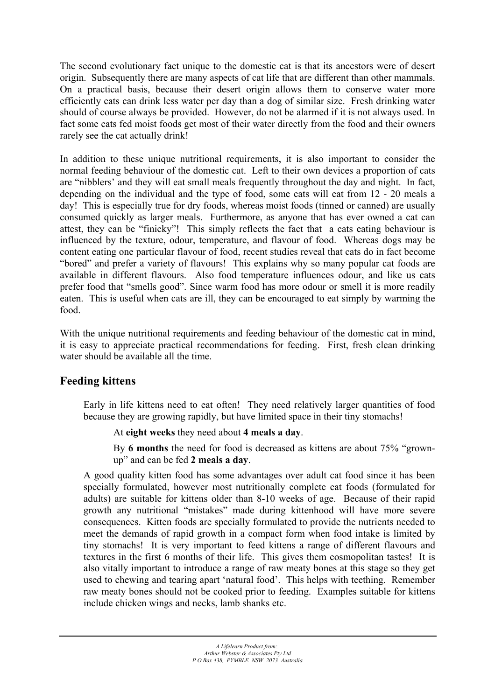The second evolutionary fact unique to the domestic cat is that its ancestors were of desert origin. Subsequently there are many aspects of cat life that are different than other mammals. On a practical basis, because their desert origin allows them to conserve water more efficiently cats can drink less water per day than a dog of similar size. Fresh drinking water should of course always be provided. However, do not be alarmed if it is not always used. In fact some cats fed moist foods get most of their water directly from the food and their owners rarely see the cat actually drink!

In addition to these unique nutritional requirements, it is also important to consider the normal feeding behaviour of the domestic cat. Left to their own devices a proportion of cats are "nibblers' and they will eat small meals frequently throughout the day and night. In fact, depending on the individual and the type of food, some cats will eat from 12 - 20 meals a day! This is especially true for dry foods, whereas moist foods (tinned or canned) are usually consumed quickly as larger meals. Furthermore, as anyone that has ever owned a cat can attest, they can be "finicky"! This simply reflects the fact that a cats eating behaviour is influenced by the texture, odour, temperature, and flavour of food. Whereas dogs may be content eating one particular flavour of food, recent studies reveal that cats do in fact become "bored" and prefer a variety of flavours! This explains why so many popular cat foods are available in different flavours. Also food temperature influences odour, and like us cats prefer food that "smells good". Since warm food has more odour or smell it is more readily eaten. This is useful when cats are ill, they can be encouraged to eat simply by warming the food.

With the unique nutritional requirements and feeding behaviour of the domestic cat in mind, it is easy to appreciate practical recommendations for feeding. First, fresh clean drinking water should be available all the time.

## **Feeding kittens**

Early in life kittens need to eat often! They need relatively larger quantities of food because they are growing rapidly, but have limited space in their tiny stomachs!

At **eight weeks** they need about **4 meals a day**.

By **6 months** the need for food is decreased as kittens are about 75% "grownup" and can be fed **2 meals a day**.

A good quality kitten food has some advantages over adult cat food since it has been specially formulated, however most nutritionally complete cat foods (formulated for adults) are suitable for kittens older than 8-10 weeks of age. Because of their rapid growth any nutritional "mistakes" made during kittenhood will have more severe consequences. Kitten foods are specially formulated to provide the nutrients needed to meet the demands of rapid growth in a compact form when food intake is limited by tiny stomachs! It is very important to feed kittens a range of different flavours and textures in the first 6 months of their life. This gives them cosmopolitan tastes! It is also vitally important to introduce a range of raw meaty bones at this stage so they get used to chewing and tearing apart 'natural food'. This helps with teething. Remember raw meaty bones should not be cooked prior to feeding. Examples suitable for kittens include chicken wings and necks, lamb shanks etc.